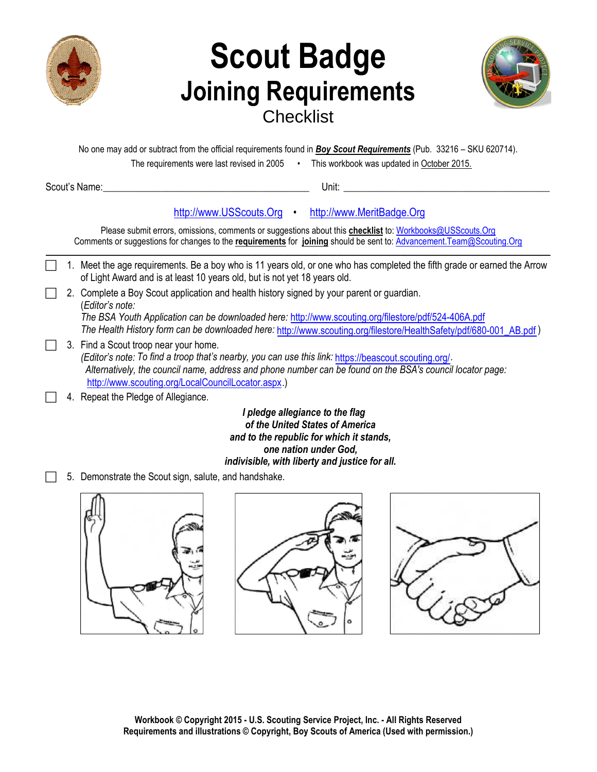# **Scout Badge Joining Requirements Checklist**



|                                                                                                                                                                                                                                                                        | No one may add or subtract from the official requirements found in Boy Scout Requirements (Pub. 33216 - SKU 620714).<br>The requirements were last revised in 2005 • This workbook was updated in October 2015.                                                                                                                            |  |
|------------------------------------------------------------------------------------------------------------------------------------------------------------------------------------------------------------------------------------------------------------------------|--------------------------------------------------------------------------------------------------------------------------------------------------------------------------------------------------------------------------------------------------------------------------------------------------------------------------------------------|--|
| <b>Unit:</b> the contract of the contract of the contract of the contract of the contract of the contract of the contract of the contract of the contract of the contract of the contract of the contract of the contract of the co<br>Scout's Name: The Scout's Name: |                                                                                                                                                                                                                                                                                                                                            |  |
|                                                                                                                                                                                                                                                                        | http://www.USScouts.Org • http://www.MeritBadge.Org                                                                                                                                                                                                                                                                                        |  |
|                                                                                                                                                                                                                                                                        | Please submit errors, omissions, comments or suggestions about this checklist to: Workbooks@USScouts.Org<br>Comments or suggestions for changes to the requirements for joining should be sent to: Advancement. Team@Scouting.Org                                                                                                          |  |
|                                                                                                                                                                                                                                                                        | 1. Meet the age requirements. Be a boy who is 11 years old, or one who has completed the fifth grade or earned the Arrow<br>of Light Award and is at least 10 years old, but is not yet 18 years old.                                                                                                                                      |  |
|                                                                                                                                                                                                                                                                        | 2. Complete a Boy Scout application and health history signed by your parent or guardian.<br>(Editor's note:<br>The BSA Youth Application can be downloaded here: http://www.scouting.org/filestore/pdf/524-406A.pdf<br>The Health History form can be downloaded here: http://www.scouting.org/filestore/HealthSafety/pdf/680-001_AB.pdf) |  |
|                                                                                                                                                                                                                                                                        | 3. Find a Scout troop near your home.<br>(Editor's note: To find a troop that's nearby, you can use this link: https://beascout.scouting.org/.<br>Alternatively, the council name, address and phone number can be found on the BSA's council locator page:<br>http://www.scouting.org/LocalCouncilLocator.aspx.)                          |  |
|                                                                                                                                                                                                                                                                        | 4. Repeat the Pledge of Allegiance.                                                                                                                                                                                                                                                                                                        |  |
|                                                                                                                                                                                                                                                                        | I pledge allegiance to the flag<br>of the United States of America<br>and to the republic for which it stands,<br>one nation under God,<br>indivisible, with liberty and justice for all.                                                                                                                                                  |  |
|                                                                                                                                                                                                                                                                        | Demonstrate the Scout sign, salute, and handshake.                                                                                                                                                                                                                                                                                         |  |
|                                                                                                                                                                                                                                                                        |                                                                                                                                                                                                                                                                                                                                            |  |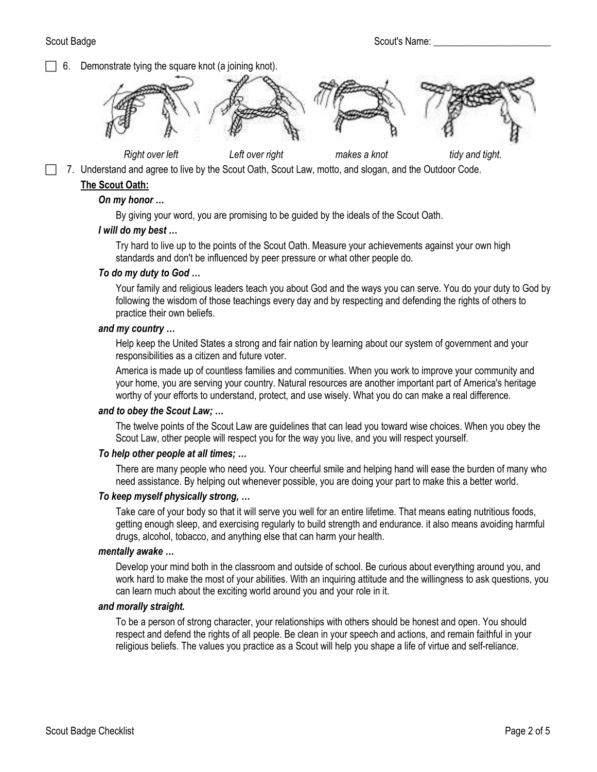6. Demonstrate tying the square knot (a joining knot).



7. Understand and agree to live by the Scout Oath, Scout Law, motto, and slogan, and the Outdoor Code.

# **The Scout Oath:**

# *On my honor …*

By giving your word, you are promising to be guided by the ideals of the Scout Oath.

# *I will do my best …*

Try hard to live up to the points of the Scout Oath. Measure your achievements against your own high standards and don't be influenced by peer pressure or what other people do.

# *To do my duty to God …*

Your family and religious leaders teach you about God and the ways you can serve. You do your duty to God by following the wisdom of those teachings every day and by respecting and defending the rights of others to practice their own beliefs.

# *and my country …*

Help keep the United States a strong and fair nation by learning about our system of government and your responsibilities as a citizen and future voter.

America is made up of countless families and communities. When you work to improve your community and your home, you are serving your country. Natural resources are another important part of America's heritage worthy of your efforts to understand, protect, and use wisely. What you do can make a real difference.

#### *and to obey the Scout Law; …*

The twelve points of the Scout Law are guidelines that can lead you toward wise choices. When you obey the Scout Law, other people will respect you for the way you live, and you will respect yourself.

#### *To help other people at all times; …*

There are many people who need you. Your cheerful smile and helping hand will ease the burden of many who need assistance. By helping out whenever possible, you are doing your part to make this a better world.

#### *To keep myself physically strong, …*

Take care of your body so that it will serve you well for an entire lifetime. That means eating nutritious foods, getting enough sleep, and exercising regularly to build strength and endurance. it also means avoiding harmful drugs, alcohol, tobacco, and anything else that can harm your health.

#### *mentally awake …*

Develop your mind both in the classroom and outside of school. Be curious about everything around you, and work hard to make the most of your abilities. With an inquiring attitude and the willingness to ask questions, you can learn much about the exciting world around you and your role in it.

#### *and morally straight.*

To be a person of strong character, your relationships with others should be honest and open. You should respect and defend the rights of all people. Be clean in your speech and actions, and remain faithful in your religious beliefs. The values you practice as a Scout will help you shape a life of virtue and self-reliance.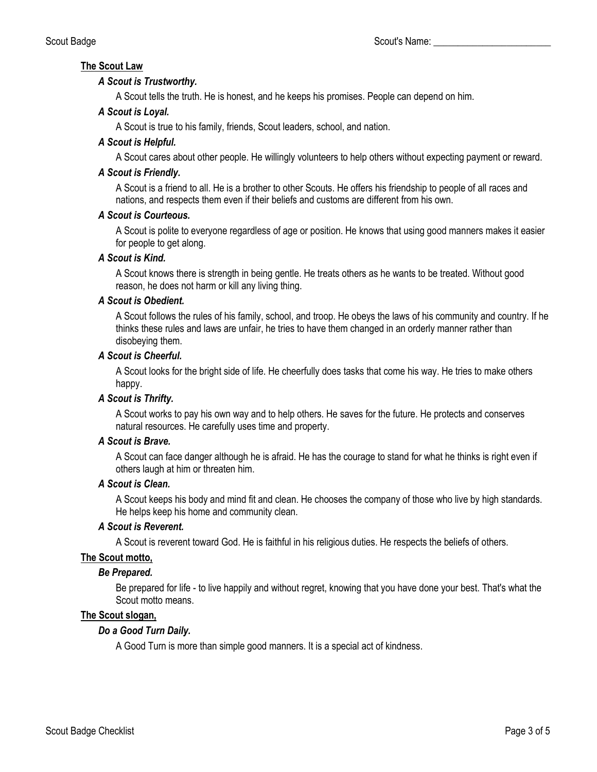# **The Scout Law**

# *A Scout is Trustworthy.*

A Scout tells the truth. He is honest, and he keeps his promises. People can depend on him.

# *A Scout is Loyal.*

A Scout is true to his family, friends, Scout leaders, school, and nation.

# *A Scout is Helpful.*

A Scout cares about other people. He willingly volunteers to help others without expecting payment or reward.

# *A Scout is Friendly.*

A Scout is a friend to all. He is a brother to other Scouts. He offers his friendship to people of all races and nations, and respects them even if their beliefs and customs are different from his own.

# *A Scout is Courteous.*

A Scout is polite to everyone regardless of age or position. He knows that using good manners makes it easier for people to get along.

# *A Scout is Kind.*

A Scout knows there is strength in being gentle. He treats others as he wants to be treated. Without good reason, he does not harm or kill any living thing.

# *A Scout is Obedient.*

A Scout follows the rules of his family, school, and troop. He obeys the laws of his community and country. If he thinks these rules and laws are unfair, he tries to have them changed in an orderly manner rather than disobeying them.

# *A Scout is Cheerful.*

A Scout looks for the bright side of life. He cheerfully does tasks that come his way. He tries to make others happy.

# *A Scout is Thrifty.*

A Scout works to pay his own way and to help others. He saves for the future. He protects and conserves natural resources. He carefully uses time and property.

#### *A Scout is Brave.*

A Scout can face danger although he is afraid. He has the courage to stand for what he thinks is right even if others laugh at him or threaten him.

# *A Scout is Clean.*

A Scout keeps his body and mind fit and clean. He chooses the company of those who live by high standards. He helps keep his home and community clean.

#### *A Scout is Reverent.*

A Scout is reverent toward God. He is faithful in his religious duties. He respects the beliefs of others.

# **The Scout motto,**

#### *Be Prepared.*

Be prepared for life - to live happily and without regret, knowing that you have done your best. That's what the Scout motto means.

# **The Scout slogan,**

#### *Do a Good Turn Daily.*

A Good Turn is more than simple good manners. It is a special act of kindness.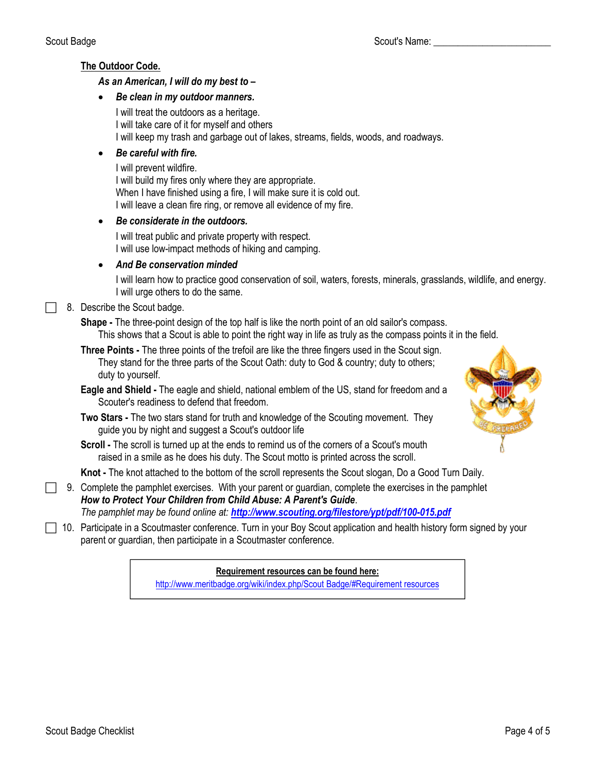# **The Outdoor Code.**

#### *As an American, I will do my best to –*

*Be clean in my outdoor manners.*

I will treat the outdoors as a heritage. I will take care of it for myself and others I will keep my trash and garbage out of lakes, streams, fields, woods, and roadways.

## *Be careful with fire.*

I will prevent wildfire.

I will build my fires only where they are appropriate. When I have finished using a fire, I will make sure it is cold out. I will leave a clean fire ring, or remove all evidence of my fire.

# *Be considerate in the outdoors.*

I will treat public and private property with respect. I will use low-impact methods of hiking and camping.

# *And Be conservation minded*

I will learn how to practice good conservation of soil, waters, forests, minerals, grasslands, wildlife, and energy. I will urge others to do the same.

 $\Box$  8. Describe the Scout badge.

**Shape -** The three-point design of the top half is like the north point of an old sailor's compass. This shows that a Scout is able to point the right way in life as truly as the compass points it in the field.

- **Three Points -** The three points of the trefoil are like the three fingers used in the Scout sign. They stand for the three parts of the Scout Oath: duty to God & country; duty to others; duty to yourself.
- **Eagle and Shield -** The eagle and shield, national emblem of the US, stand for freedom and a Scouter's readiness to defend that freedom.
- **Two Stars -** The two stars stand for truth and knowledge of the Scouting movement. They guide you by night and suggest a Scout's outdoor life
- **Scroll -** The scroll is turned up at the ends to remind us of the corners of a Scout's mouth raised in a smile as he does his duty. The Scout motto is printed across the scroll.

**Knot -** The knot attached to the bottom of the scroll represents the Scout slogan, Do a Good Turn Daily.

 9. Complete the pamphlet exercises. With your parent or guardian, complete the exercises in the pamphlet *How to Protect Your Children from Child Abuse: A Parent's Guide*.

*The pamphlet may be found online at: <http://www.scouting.org/filestore/ypt/pdf/100-015.pdf>*

 $\Box$  10. Participate in a Scoutmaster conference. Turn in your Boy Scout application and health history form signed by your parent or guardian, then participate in a Scoutmaster conference.

#### **Requirement resources can be found here:**

[http://www.meritbadge.org/wiki/index.php/Scout Badge/#Requirement resources](http://www.meritbadge.org/wiki/index.php/Scout_Badge#Requirement_resources)